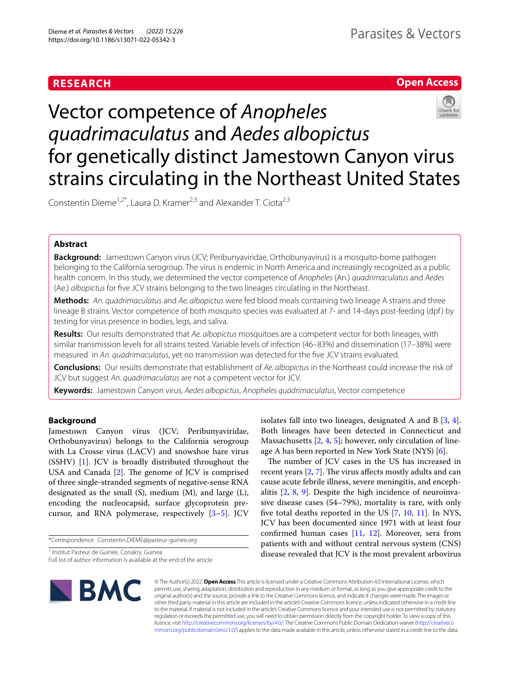# **RESEARCH**

# **Open Access**

# Vector competence of *Anopheles quadrimaculatus* and *Aedes albopictus* for genetically distinct Jamestown Canyon virus strains circulating in the Northeast United States

Constentin Dieme<sup>1,2\*</sup>, Laura D. Kramer<sup>2,3</sup> and Alexander T. Ciota<sup>2,3</sup>

## **Abstract**

**Background:** Jamestown Canyon virus (JCV; Peribunyaviridae, Orthobunyavirus) is a mosquito-borne pathogen belonging to the California serogroup. The virus is endemic in North America and increasingly recognized as a public health concern. In this study, we determined the vector competence of *Anopheles* (An.) *quadrimaculatus* and *Aedes* (Ae.) *albopictus* for fve JCV strains belonging to the two lineages circulating in the Northeast.

**Methods:** *An. quadrimaculatus* and *Ae. albopictus* were fed blood meals containing two lineage A strains and three lineage B strains. Vector competence of both mosquito species was evaluated at 7- and 14-days post-feeding (dpf) by testing for virus presence in bodies, legs, and saliva.

**Results:** Our results demonstrated that *Ae. albopictus* mosquitoes are a competent vector for both lineages, with similar transmission levels for all strains tested. Variable levels of infection (46–83%) and dissemination (17–38%) were measured in *An. quadrimaculatus*, yet no transmission was detected for the fve JCV strains evaluated.

**Conclusions:** Our results demonstrate that establishment of *Ae. albopictus* in the Northeast could increase the risk of JCV but suggest *An. quadrimaculatus* are not a competent vector for JCV.

**Keywords:** Jamestown Canyon virus, *Aedes albopictus*, *Anopheles quadrimaculatus*, Vector competence

## **Background**

Jamestown Canyon virus (JCV; Peribunyaviridae, Orthobunyavirus) belongs to the California serogroup with La Crosse virus (LACV) and snowshoe hare virus (SSHV) [\[1](#page-4-0)]. JCV is broadly distributed throughout the USA and Canada  $[2]$  $[2]$ . The genome of JCV is comprised of three single-stranded segments of negative-sense RNA designated as the small (S), medium (M), and large (L), encoding the nucleocapsid, surface glycoprotein precursor, and RNA polymerase, respectively [\[3–](#page-4-2)[5\]](#page-4-3). JCV

\*Correspondence: Constentin.DIEME@pasteur-guinee.org

<sup>1</sup> Institut Pasteur de Guinée, Conakry, Guinea

Full list of author information is available at the end of the article



isolates fall into two lineages, designated A and B [[3,](#page-4-2) [4](#page-4-4)]. Both lineages have been detected in Connecticut and Massachusetts [\[2](#page-4-1), [4,](#page-4-4) [5\]](#page-4-3); however, only circulation of lineage A has been reported in New York State (NYS) [\[6](#page-4-5)].

The number of JCV cases in the US has increased in recent years  $[2, 7]$  $[2, 7]$  $[2, 7]$  $[2, 7]$ . The virus affects mostly adults and can cause acute febrile illness, severe meningitis, and encephalitis [[2,](#page-4-1) [8,](#page-4-7) [9](#page-4-8)]. Despite the high incidence of neuroinvasive disease cases (54–79%), mortality is rare, with only fve total deaths reported in the US [\[7](#page-4-6), [10,](#page-4-9) [11](#page-4-10)]. In NYS, JCV has been documented since 1971 with at least four confrmed human cases [\[11,](#page-4-10) [12\]](#page-5-0). Moreover, sera from patients with and without central nervous system (CNS) disease revealed that JCV is the most prevalent arbovirus

© The Author(s) 2022. **Open Access** This article is licensed under a Creative Commons Attribution 4.0 International License, which permits use, sharing, adaptation, distribution and reproduction in any medium or format, as long as you give appropriate credit to the original author(s) and the source, provide a link to the Creative Commons licence, and indicate if changes were made. The images or other third party material in this article are included in the article's Creative Commons licence, unless indicated otherwise in a credit line to the material. If material is not included in the article's Creative Commons licence and your intended use is not permitted by statutory regulation or exceeds the permitted use, you will need to obtain permission directly from the copyright holder. To view a copy of this licence, visit [http://creativecommons.org/licenses/by/4.0/.](http://creativecommons.org/licenses/by/4.0/) The Creative Commons Public Domain Dedication waiver ([http://creativeco](http://creativecommons.org/publicdomain/zero/1.0/) [mmons.org/publicdomain/zero/1.0/](http://creativecommons.org/publicdomain/zero/1.0/)) applies to the data made available in this article, unless otherwise stated in a credit line to the data.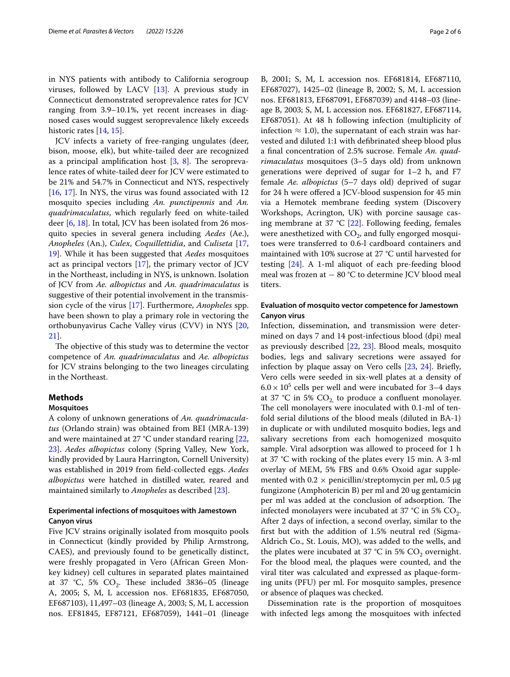in NYS patients with antibody to California serogroup viruses, followed by LACV  $[13]$  $[13]$ . A previous study in Connecticut demonstrated seroprevalence rates for JCV ranging from 3.9–10.1%, yet recent increases in diagnosed cases would suggest seroprevalence likely exceeds historic rates [\[14](#page-5-2), [15](#page-5-3)].

JCV infects a variety of free-ranging ungulates (deer, bison, moose, elk), but white-tailed deer are recognized as a principal amplification host  $[3, 8]$  $[3, 8]$  $[3, 8]$  $[3, 8]$ . The seroprevalence rates of white-tailed deer for JCV were estimated to be 21% and 54.7% in Connecticut and NYS, respectively [[16,](#page-5-4) [17\]](#page-5-5). In NYS, the virus was found associated with 12 mosquito species including *An. punctipennis* and *An. quadrimaculatus*, which regularly feed on white-tailed deer [\[6](#page-4-5), [18\]](#page-5-6). In total, JCV has been isolated from 26 mosquito species in several genera including *Aedes* (Ae.), *Anopheles* (An.), *Culex*, *Coquillettidia*, and *Culiseta* [\[17](#page-5-5), [19\]](#page-5-7). While it has been suggested that *Aedes* mosquitoes act as principal vectors [[17\]](#page-5-5), the primary vector of JCV in the Northeast, including in NYS, is unknown. Isolation of JCV from *Ae. albopictus* and *An. quadrimaculatus* is suggestive of their potential involvement in the transmission cycle of the virus [[17](#page-5-5)]. Furthermore, *Anopheles* spp. have been shown to play a primary role in vectoring the orthobunyavirus Cache Valley virus (CVV) in NYS [\[20](#page-5-8), [21\]](#page-5-9).

The objective of this study was to determine the vector competence of *An. quadrimaculatus* and *Ae. albopictus* for JCV strains belonging to the two lineages circulating in the Northeast.

## **Methods**

## **Mosquitoes**

A colony of unknown generations of *An. quadrimaculatus* (Orlando strain) was obtained from BEI (MRA-139) and were maintained at 27 °C under standard rearing [\[22](#page-5-10), [23\]](#page-5-11). *Aedes albopictus* colony (Spring Valley, New York, kindly provided by Laura Harrington, Cornell University) was established in 2019 from feld-collected eggs. *Aedes albopictus* were hatched in distilled water, reared and maintained similarly to *Anopheles* as described [\[23](#page-5-11)].

## **Experimental infections of mosquitoes with Jamestown Canyon virus**

Five JCV strains originally isolated from mosquito pools in Connecticut (kindly provided by Philip Armstrong, CAES), and previously found to be genetically distinct, were freshly propagated in Vero (African Green Monkey kidney) cell cultures in separated plates maintained at 37 °C, 5%  $CO<sub>2</sub>$ . These included 3836–05 (lineage A, 2005; S, M, L accession nos. EF681835, EF687050, EF687103), 11,497–03 (lineage A, 2003; S, M, L accession nos. EF81845, EF87121, EF687059), 1441–01 (lineage B, 2001; S, M, L accession nos. EF681814, EF687110, EF687027), 1425–02 (lineage B, 2002; S, M, L accession nos. EF681813, EF687091, EF687039) and 4148–03 (lineage B, 2003; S, M, L accession nos. EF681827, EF687114, EF687051). At 48 h following infection (multiplicity of infection  $\approx$  1.0), the supernatant of each strain was harvested and diluted 1:1 with defbrinated sheep blood plus a fnal concentration of 2.5% sucrose. Female *An. quadrimaculatus* mosquitoes (3–5 days old) from unknown generations were deprived of sugar for 1–2 h, and F7 female *Ae. albopictus* (5–7 days old) deprived of sugar for 24 h were ofered a JCV-blood suspension for 45 min via a Hemotek membrane feeding system (Discovery Workshops, Acrington, UK) with porcine sausage casing membrane at 37 °C [\[22](#page-5-10)]. Following feeding, females were anesthetized with  $CO<sub>2</sub>$ , and fully engorged mosquitoes were transferred to 0.6-l cardboard containers and maintained with 10% sucrose at 27 °C until harvested for testing [[24\]](#page-5-12). A 1-ml aliquot of each pre-feeding blood meal was frozen at − 80 °C to determine JCV blood meal titers.

## **Evaluation of mosquito vector competence for Jamestown Canyon virus**

Infection, dissemination, and transmission were determined on days 7 and 14 post-infectious blood (dpi) meal as previously described [\[22](#page-5-10), [23\]](#page-5-11). Blood meals, mosquito bodies, legs and salivary secretions were assayed for infection by plaque assay on Vero cells [[23](#page-5-11), [24](#page-5-12)]. Briefy, Vero cells were seeded in six-well plates at a density of  $6.0 \times 10^5$  cells per well and were incubated for 3–4 days at 37 °C in 5%  $CO<sub>2</sub>$  to produce a confluent monolayer. The cell monolayers were inoculated with 0.1-ml of tenfold serial dilutions of the blood meals (diluted in BA-1) in duplicate or with undiluted mosquito bodies, legs and salivary secretions from each homogenized mosquito sample. Viral adsorption was allowed to proceed for 1 h at 37 °C with rocking of the plates every 15 min. A 3-ml overlay of MEM, 5% FBS and 0.6% Oxoid agar supplemented with  $0.2 \times$  penicillin/streptomycin per ml,  $0.5 \mu$ g fungizone (Amphotericin B) per ml and 20 ug gentamicin per ml was added at the conclusion of adsorption. The infected monolayers were incubated at 37  $\degree$ C in 5% CO<sub>2</sub>. After 2 days of infection, a second overlay, similar to the frst but with the addition of 1.5% neutral red (Sigma-Aldrich Co., St. Louis, MO), was added to the wells, and the plates were incubated at 37 °C in 5%  $CO<sub>2</sub>$  overnight. For the blood meal, the plaques were counted, and the viral titer was calculated and expressed as plaque-forming units (PFU) per ml. For mosquito samples, presence or absence of plaques was checked.

Dissemination rate is the proportion of mosquitoes with infected legs among the mosquitoes with infected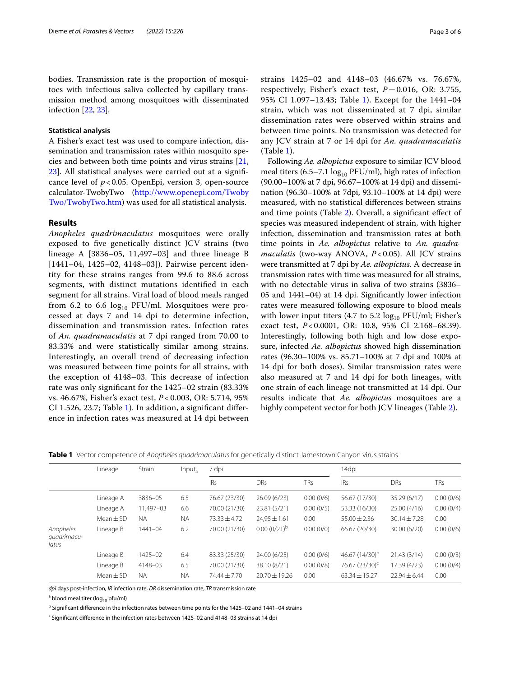bodies. Transmission rate is the proportion of mosquitoes with infectious saliva collected by capillary transmission method among mosquitoes with disseminated infection [[22,](#page-5-10) [23\]](#page-5-11).

#### **Statistical analysis**

A Fisher's exact test was used to compare infection, dissemination and transmission rates within mosquito species and between both time points and virus strains [\[21](#page-5-9), [23\]](#page-5-11). All statistical analyses were carried out at a signifcance level of *p*<0.05. OpenEpi, version 3, open-source calculator-TwobyTwo [\(http://www.openepi.com/Twoby](http://www.openepi.com/TwobyTwo/TwobyTwo.htm) [Two/TwobyTwo.htm](http://www.openepi.com/TwobyTwo/TwobyTwo.htm)) was used for all statistical analysis.

## **Results**

*Anopheles quadrimaculatus* mosquitoes were orally exposed to fve genetically distinct JCV strains (two lineage A [3836–05, 11,497–03] and three lineage B [1441–04, 1425–02, 4148–03]). Pairwise percent identity for these strains ranges from 99.6 to 88.6 across segments, with distinct mutations identifed in each segment for all strains. Viral load of blood meals ranged from 6.2 to 6.6  $log_{10}$  PFU/ml. Mosquitoes were processed at days 7 and 14 dpi to determine infection, dissemination and transmission rates. Infection rates of *An. quadramaculatis* at 7 dpi ranged from 70.00 to 83.33% and were statistically similar among strains. Interestingly, an overall trend of decreasing infection was measured between time points for all strains, with the exception of 4148-03. This decrease of infection rate was only signifcant for the 1425–02 strain (83.33% vs. 46.67%, Fisher's exact test, *P* < 0.003, OR: 5.714, 95% CI 1.526, 23.7; Table [1\)](#page-2-0). In addition, a signifcant diference in infection rates was measured at 14 dpi between strains 1425–02 and 4148–03 (46.67% vs. 76.67%, respectively; Fisher's exact test,  $P = 0.016$ , OR: 3.755, 95% CI 1.097–13.43; Table [1](#page-2-0)). Except for the 1441–04 strain, which was not disseminated at 7 dpi, similar dissemination rates were observed within strains and between time points. No transmission was detected for any JCV strain at 7 or 14 dpi for *An. quadramaculatis* (Table [1\)](#page-2-0).

Following *Ae. albopictus* exposure to similar JCV blood meal titers (6.5–7.1  $\log_{10}$  PFU/ml), high rates of infection (90.00–100% at 7 dpi, 96.67–100% at 14 dpi) and dissemination (96.30–100% at 7dpi, 93.10–100% at 14 dpi) were measured, with no statistical diferences between strains and time points (Table [2](#page-3-0)). Overall, a signifcant efect of species was measured independent of strain, with higher infection, dissemination and transmission rates at both time points in *Ae. albopictus* relative to *An. quadramaculatis* (two-way ANOVA, *P*<0.05). All JCV strains were transmitted at 7 dpi by *Ae. albopictus*. A decrease in transmission rates with time was measured for all strains, with no detectable virus in saliva of two strains (3836– 05 and 1441–04) at 14 dpi. Signifcantly lower infection rates were measured following exposure to blood meals with lower input titers (4.7 to 5.2  $log_{10}$  PFU/ml; Fisher's exact test, *P*<0.0001, OR: 10.8, 95% CI 2.168–68.39). Interestingly, following both high and low dose exposure, infected *Ae. albopictus* showed high dissemination rates (96.30–100% vs. 85.71–100% at 7 dpi and 100% at 14 dpi for both doses). Similar transmission rates were also measured at 7 and 14 dpi for both lineages, with one strain of each lineage not transmitted at 14 dpi. Our results indicate that *Ae. albopictus* mosquitoes are a highly competent vector for both JCV lineages (Table [2\)](#page-3-0).

<span id="page-2-0"></span>**Table 1** Vector competence of *Anopheles quadrimaculatus* for genetically distinct Jamestown Canyon virus strains

|                                   | Lineage       | Strain    | Input <sub>s</sub> | 7 dpi            |                   |            | 14dpi                      |                  |            |
|-----------------------------------|---------------|-----------|--------------------|------------------|-------------------|------------|----------------------------|------------------|------------|
|                                   |               |           |                    | <b>IRs</b>       | <b>DRs</b>        | <b>TRs</b> | <b>IRs</b>                 | <b>DRs</b>       | <b>TRs</b> |
|                                   | Lineage A     | 3836-05   | 6.5                | 76.67 (23/30)    | 26.09(6/23)       | 0.00(0/6)  | 56.67 (17/30)              | 35.29 (6/17)     | 0.00(0/6)  |
|                                   | Lineage A     | 11.497-03 | 6.6                | 70.00 (21/30)    | 23.81 (5/21)      | 0.00(0/5)  | 53.33 (16/30)              | 25.00 (4/16)     | 0.00(0/4)  |
|                                   | $Mean + SD$   | <b>NA</b> | <b>NA</b>          | $73.33 \pm 4.72$ | $24,95 \pm 1.61$  | 0.00       | $55.00 \pm 2.36$           | $30.14 \pm 7.28$ | 0.00       |
| Anopheles<br>quadrimacu-<br>latus | Lineage B     | 1441-04   | 6.2                | 70.00 (21/30)    | $0.00(0/21)^{b}$  | 0.00(0/0)  | 66.67 (20/30)              | 30.00 (6/20)     | 0.00(0/6)  |
|                                   | Lineage B     | 1425-02   | 6.4                | 83.33 (25/30)    | 24.00 (6/25)      | 0.00(0/6)  | 46.67 (14/30) <sup>b</sup> | 21.43(3/14)      | 0.00(0/3)  |
|                                   | Lineage B     | 4148-03   | 6.5                | 70.00 (21/30)    | 38.10 (8/21)      | 0.00(0/8)  | 76.67 (23/30) <sup>c</sup> | 17.39 (4/23)     | 0.00(0/4)  |
|                                   | Mean $\pm$ SD | <b>NA</b> | <b>NA</b>          | $74.44 + 7.70$   | $20.70 \pm 19.26$ | 0.00       | $63.34 \pm 15.27$          | $22.94 \pm 6.44$ | 0.00       |

*dpi* days post-infection, *IR* infection rate, *DR* dissemination rate, *TR* transmission rate

<sup>a</sup> blood meal titer (log<sub>10</sub> pfu/ml)

<sup>b</sup> Significant difference in the infection rates between time points for the 1425–02 and 1441–04 strains

<sup>c</sup> Significant difference in the infection rates between 1425–02 and 4148–03 strains at 14 dpi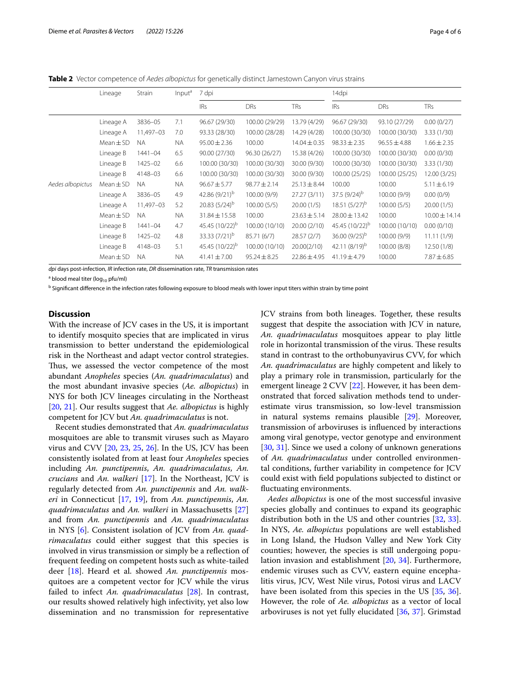<span id="page-3-0"></span>**Table 2** Vector competence of *Aedes albopictus* for genetically distinct Jamestown Canyon virus strains

|                  | Lineage       | Strain      | Input <sup>a</sup> | 7 dpi                      |                  |                  | 14dpi                      |                  |                   |
|------------------|---------------|-------------|--------------------|----------------------------|------------------|------------------|----------------------------|------------------|-------------------|
|                  |               |             |                    | <b>IRs</b>                 | <b>DRs</b>       | <b>TRs</b>       | <b>IRs</b>                 | <b>DRs</b>       | <b>TRs</b>        |
|                  | Lineage A     | 3836-05     | 7.1                | 96.67 (29/30)              | 100.00 (29/29)   | 13.79 (4/29)     | 96.67 (29/30)              | 93.10 (27/29)    | 0.00(0/27)        |
|                  | Lineage A     | 11.497-03   | 7.0                | 93.33 (28/30)              | 100.00 (28/28)   | 14.29 (4/28)     | 100.00 (30/30)             | 100.00 (30/30)   | 3.33(1/30)        |
|                  | $Mean \pm SD$ | <b>NA</b>   | <b>NA</b>          | $95.00 \pm 2.36$           | 100.00           | $14.04 \pm 0.35$ | $98.33 \pm 2.35$           | $96.55 \pm 4.88$ | $1.66 \pm 2.35$   |
|                  | Lineage B     | $1441 - 04$ | 6.5                | 90.00 (27/30)              | 96.30 (26/27)    | 15.38 (4/26)     | 100.00 (30/30)             | 100.00 (30/30)   | 0.00(0/30)        |
|                  | Lineage B     | $1425 - 02$ | 6.6                | 100.00 (30/30)             | 100.00 (30/30)   | 30.00 (9/30)     | 100.00 (30/30)             | 100.00 (30/30)   | 3.33(1/30)        |
| Aedes albopictus | Lineage B     | 4148-03     | 6.6                | 100.00 (30/30)             | 100.00 (30/30)   | 30.00 (9/30)     | 100.00 (25/25)             | 100.00 (25/25)   | 12.00 (3/25)      |
|                  | $Mean \pm SD$ | <b>NA</b>   | <b>NA</b>          | $96.67 \pm 5.77$           | $98.77 \pm 2.14$ | $25.13 \pm 8.44$ | 100.00                     | 100.00           | $5.11 \pm 6.19$   |
|                  | Lineage A     | 3836-05     | 4.9                | 42.86 $(9/21)^b$           | 100.00 (9/9)     | 27.27(3/11)      | 37.5 $(9/24)^b$            | 100.00 (9/9)     | 0.00(0/9)         |
|                  | Lineage A     | 11,497-03   | 5.2                | 20.83 $(5/24)^b$           | 100.00(5/5)      | 20.00(1/5)       | $18.51 (5/27)^b$           | 100.00(5/5)      | 20.00(1/5)        |
|                  | Mean $\pm$ SD | <b>NA</b>   | <b>NA</b>          | $31.84 \pm 15.58$          | 100.00           | $23.63 \pm 5.14$ | $28.00 \pm 13.42$          | 100.00           | $10.00 \pm 14.14$ |
|                  | Lineage B     | $1441 - 04$ | 4.7                | 45.45 (10/22) <sup>b</sup> | 100.00 (10/10)   | 20.00 (2/10)     | 45.45 (10/22) <sup>b</sup> | 100.00 (10/10)   | 0.00(0/10)        |
|                  | Lineage B     | $1425 - 02$ | 4.8                | 33.33 $(7/21)^b$           | 85.71 (6/7)      | 28.57(2/7)       | 36.00 $(9/25)^b$           | 100.00 (9/9)     | 11.11(1/9)        |
|                  | Lineage B     | 4148-03     | 5.1                | 45.45 (10/22) <sup>b</sup> | 100.00 (10/10)   | 20.00(2/10)      | 42.11 $(8/19)^b$           | 100.00 (8/8)     | 12.50 (1/8)       |
|                  | $Mean \pm SD$ | <b>NA</b>   | <b>NA</b>          | $41.41 \pm 7.00$           | $95.24 \pm 8.25$ | $22.86 \pm 4.95$ | $41.19 \pm 4.79$           | 100.00           | $7.87 \pm 6.85$   |

*dpi* days post-infection, *IR* infection rate, *DR* dissemination rate, *TR* transmission rates

<sup>a</sup> blood meal titer (log<sub>10</sub> pfu/ml)

<sup>b</sup> Significant difference in the infection rates following exposure to blood meals with lower input titers within strain by time point

## **Discussion**

With the increase of JCV cases in the US, it is important to identify mosquito species that are implicated in virus transmission to better understand the epidemiological risk in the Northeast and adapt vector control strategies. Thus, we assessed the vector competence of the most abundant *Anopheles* species (*An. quadrimaculatus*) and the most abundant invasive species (*Ae. albopictus*) in NYS for both JCV lineages circulating in the Northeast [[20,](#page-5-8) [21\]](#page-5-9). Our results suggest that *Ae. albopictus* is highly competent for JCV but *An. quadrimaculatus* is not.

Recent studies demonstrated that *An. quadrimaculatus* mosquitoes are able to transmit viruses such as Mayaro virus and CVV [\[20](#page-5-8), [23](#page-5-11), [25](#page-5-13), [26](#page-5-14)]. In the US, JCV has been consistently isolated from at least four *Anopheles* species including *An. punctipennis*, *An. quadrimaculatus*, *An. crucians* and *An. walkeri* [\[17\]](#page-5-5). In the Northeast, JCV is regularly detected from *An. punctipennis* and *An. walkeri* in Connecticut [\[17](#page-5-5), [19\]](#page-5-7), from *An. punctipennis*, *An. quadrimaculatus* and *An. walkeri* in Massachusetts [[27](#page-5-15)] and from *An. punctipennis* and *An. quadrimaculatus* in NYS [[6\]](#page-4-5). Consistent isolation of JCV from *An. quadrimaculatus* could either suggest that this species is involved in virus transmission or simply be a refection of frequent feeding on competent hosts such as white-tailed deer [[18](#page-5-6)]. Heard et al. showed *An. punctipennis* mosquitoes are a competent vector for JCV while the virus failed to infect *An. quadrimaculatus* [[28](#page-5-16)]. In contrast, our results showed relatively high infectivity, yet also low dissemination and no transmission for representative JCV strains from both lineages. Together, these results suggest that despite the association with JCV in nature, *An. quadrimaculatus* mosquitoes appear to play little role in horizontal transmission of the virus. These results stand in contrast to the orthobunyavirus CVV, for which *An. quadrimaculatus* are highly competent and likely to play a primary role in transmission, particularly for the emergent lineage 2 CVV [\[22](#page-5-10)]. However, it has been demonstrated that forced salivation methods tend to underestimate virus transmission, so low-level transmission in natural systems remains plausible [\[29](#page-5-17)]. Moreover, transmission of arboviruses is infuenced by interactions among viral genotype, vector genotype and environment [[30,](#page-5-18) [31\]](#page-5-19). Since we used a colony of unknown generations of *An. quadrimaculatus* under controlled environmental conditions, further variability in competence for JCV could exist with feld populations subjected to distinct or fuctuating environments.

*Aedes albopictus* is one of the most successful invasive species globally and continues to expand its geographic distribution both in the US and other countries [\[32](#page-5-20), [33](#page-5-21)]. In NYS, *Ae. albopictus* populations are well established in Long Island, the Hudson Valley and New York City counties; however, the species is still undergoing population invasion and establishment [\[20](#page-5-8), [34](#page-5-22)]. Furthermore, endemic viruses such as CVV, eastern equine encephalitis virus, JCV, West Nile virus, Potosi virus and LACV have been isolated from this species in the US [[35,](#page-5-23) [36](#page-5-24)]. However, the role of *Ae. albopictus* as a vector of local arboviruses is not yet fully elucidated [\[36](#page-5-24), [37](#page-5-25)]. Grimstad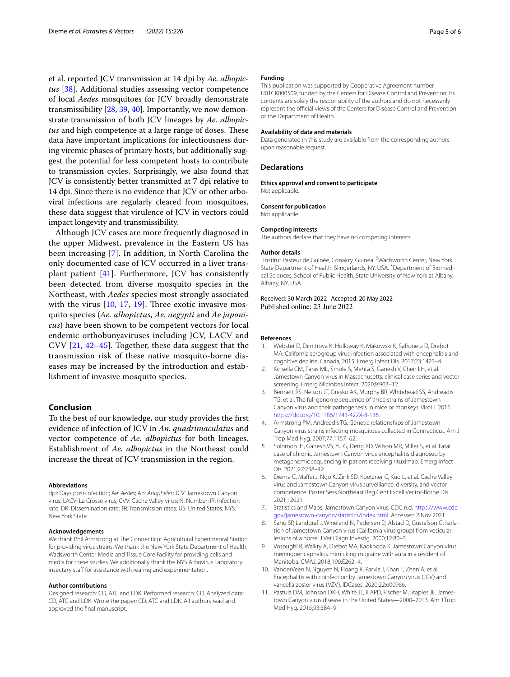et al. reported JCV transmission at 14 dpi by *Ae. albopictus* [\[38](#page-5-26)]. Additional studies assessing vector competence of local *Aedes* mosquitoes for JCV broadly demonstrate transmissibility [[28,](#page-5-16) [39](#page-5-27), [40\]](#page-5-28). Importantly, we now demonstrate transmission of both JCV lineages by *Ae. albopictus* and high competence at a large range of doses. These data have important implications for infectiousness during viremic phases of primary hosts, but additionally suggest the potential for less competent hosts to contribute to transmission cycles. Surprisingly, we also found that JCV is consistently better transmitted at 7 dpi relative to 14 dpi. Since there is no evidence that JCV or other arboviral infections are regularly cleared from mosquitoes, these data suggest that virulence of JCV in vectors could impact longevity and transmissibility.

Although JCV cases are more frequently diagnosed in the upper Midwest, prevalence in the Eastern US has been increasing [[7](#page-4-6)]. In addition, in North Carolina the only documented case of JCV occurred in a liver transplant patient [[41\]](#page-5-29). Furthermore, JCV has consistently been detected from diverse mosquito species in the Northeast, with *Aedes* species most strongly associated with the virus  $[10, 17, 19]$  $[10, 17, 19]$  $[10, 17, 19]$  $[10, 17, 19]$  $[10, 17, 19]$  $[10, 17, 19]$  $[10, 17, 19]$ . Three exotic invasive mosquito species (*Ae. albopictus*, *Ae. aegypti* and *Ae japonicus*) have been shown to be competent vectors for local endemic orthobunyaviruses including JCV, LACV and CVV [\[21](#page-5-9), [42–](#page-5-30)[45](#page-5-31)]. Together, these data suggest that the transmission risk of these native mosquito-borne diseases may be increased by the introduction and establishment of invasive mosquito species.

## **Conclusion**

To the best of our knowledge, our study provides the frst evidence of infection of JCV in *An. quadrimaculatus* and vector competence of *Ae. albopictus* for both lineages. Establishment of *Ae. albopictus* in the Northeast could increase the threat of JCV transmission in the region.

#### **Abbreviations**

dpi: Days post-infection; Ae: *Aedes*; An: *Anopheles*; JCV: Jamestown Canyon virus; LACV: La Crosse virus; CVV: Cache Valley virus; N: Number; IR: Infection rate; DR: Dissemination rate; TR: Transmission rates; US: United States; NYS: New York State.

#### **Acknowledgements**

We thank Phil Armstrong at The Connecticut Agricultural Experimental Station for providing virus strains. We thank the New York State Department of Health, Wadsworth Center Media and Tissue Core Facility for providing cells and media for these studies. We additionally thank the NYS Arbovirus Laboratory insectary staff for assistance with rearing and experimentation.

#### **Author contributions**

Designed research: CD, ATC and LDK. Performed research: CD. Analyzed data: CD, ATC and LDK. Wrote the paper: CD, ATC and LDK. All authors read and approved the fnal manuscript.

#### **Funding**

This publication was supported by Cooperative Agreement number U01CK000509, funded by the Centers for Disease Control and Prevention. Its contents are solely the responsibility of the authors and do not necessarily represent the official views of the Centers for Disease Control and Prevention or the Department of Health.

#### **Availability of data and materials**

Data generated in this study are available from the corresponding authors upon reasonable request.

## **Declarations**

**Ethics approval and consent to participate** Not applicable.

## **Consent for publication**

Not applicable.

#### **Competing interests**

The authors declare that they have no competing interests.

#### **Author details**

<sup>1</sup> Institut Pasteur de Guinée, Conakry, Guinea. <sup>2</sup> Wadsworth Center, New York State Department of Health, Slingerlands, NY, USA.<sup>3</sup> Department of Biomedical Sciences, School of Public Health, State University of New York at Albany, Albany, NY, USA.

Received: 30 March 2022 Accepted: 20 May 2022<br>Published online: 23 June 2022

#### **References**

- <span id="page-4-0"></span>1. Webster D, Dimitrova K, Holloway K, Makowski K, Safronetz D, Drebot MA. California serogroup virus infection associated with encephalitis and cognitive decline, Canada, 2015. Emerg Infect Dis. 2017;23:1423–4.
- <span id="page-4-1"></span>2. Kinsella CM, Paras ML, Smole S, Mehta S, Ganesh V, Chen LH, et al. Jamestown Canyon virus in Massachusetts: clinical case series and vector screening. Emerg Microbes Infect. 2020;9:903–12.
- <span id="page-4-2"></span>3. Bennett RS, Nelson JT, Gresko AK, Murphy BR, Whitehead SS, Andreadis TG, et al. The full genome sequence of three strains of Jamestown Canyon virus and their pathogenesis in mice or monkeys. Virol J. 2011. <https://doi.org/10.1186/1743-422X-8-136>.
- <span id="page-4-4"></span>4. Armstrong PM, Andreadis TG. Genetic relationships of Jamestown Canyon virus strains infecting mosquitoes collected in Connecticut. Am J Trop Med Hyg. 2007;77:1157–62.
- <span id="page-4-3"></span>5. Solomon IH, Ganesh VS, Yu G, Deng XD, Wilson MR, Miller S, et al. Fatal case of chronic Jamestown Canyon virus encephalitis diagnosed by metagenomic sequencing in patient receiving rituximab. Emerg Infect Dis. 2021;27:238–42.
- <span id="page-4-5"></span>6. Dieme C, Mafei J, Ngo K, Zink SD, Koetzner C, Kuo L, et al. Cache Valley virus and Jamestown Canyon virus surveillance, diversity, and vector competence. Poster Sess Northeast Reg Cent Excell Vector-Borne Dis. 2021 ; 2021
- <span id="page-4-6"></span>7. Statistics and Maps, Jamestown Canyon virus, CDC n.d. [https://www.cdc.](https://www.cdc.gov/jamestown-canyon/statistics/index.html) [gov/jamestown-canyon/statistics/index.html.](https://www.cdc.gov/jamestown-canyon/statistics/index.html) Accessed 2 Nov 2021.
- <span id="page-4-7"></span>8. Sahu SP, Landgraf J, Wineland N, Pedersen D, Alstad D, Gustafson G. Isolation of Jamestown Canyon virus (California virus group) from vesicular lesions of a horse. J Vet Diagn Investig. 2000;12:80–3.
- <span id="page-4-8"></span>9. Vosoughi R, Walkty A, Drebot MA, Kadkhoda K. Jamestown Canyon virus meningoencephalitis mimicking migraine with aura in a resident of Manitoba. CMAJ. 2018;190:E262–4.
- <span id="page-4-9"></span>10. VanderVeen N, Nguyen N, Hoang K, Parviz J, Khan T, Zhen A, et al. Encephalitis with coinfection by Jamestown Canyon virus (JCV) and varicella zoster virus (VZV). IDCases. 2020;22:e00966.
- <span id="page-4-10"></span>11. Pastula DM, Johnson DKH, White JL, Ii APD, Fischer M, Staples JE. Jamestown Canyon virus disease in the United States—2000–2013. Am J Trop Med Hyg. 2015;93:384–9.